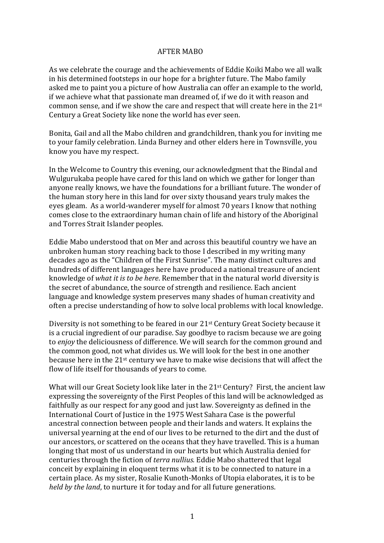## AFTER MABO

As we celebrate the courage and the achievements of Eddie Koiki Mabo we all walk in his determined footsteps in our hope for a brighter future. The Mabo family asked me to paint you a picture of how Australia can offer an example to the world, if we achieve what that passionate man dreamed of, if we do it with reason and common sense, and if we show the care and respect that will create here in the  $21^{st}$ Century a Great Society like none the world has ever seen.

Bonita, Gail and all the Mabo children and grandchildren, thank you for inviting me to your family celebration. Linda Burney and other elders here in Townsville, you know you have my respect.

In the Welcome to Country this evening, our acknowledgment that the Bindal and Wulgurukaba people have cared for this land on which we gather for longer than anyone really knows, we have the foundations for a brilliant future. The wonder of the human story here in this land for over sixty thousand years truly makes the eyes gleam. As a world-wanderer myself for almost 70 years I know that nothing comes close to the extraordinary human chain of life and history of the Aboriginal and Torres Strait Islander peoples.

Eddie Mabo understood that on Mer and across this beautiful country we have an unbroken human story reaching back to those I described in my writing many decades ago as the "Children of the First Sunrise". The many distinct cultures and hundreds of different languages here have produced a national treasure of ancient knowledge of *what it is to be here*. Remember that in the natural world diversity is the secret of abundance, the source of strength and resilience. Each ancient language and knowledge system preserves many shades of human creativity and often a precise understanding of how to solve local problems with local knowledge.

Diversity is not something to be feared in our  $21<sup>st</sup>$  Century Great Society because it is a crucial ingredient of our paradise. Say goodbye to racism because we are going to *enjoy* the deliciousness of difference. We will search for the common ground and the common good, not what divides us. We will look for the best in one another because here in the  $21^{st}$  century we have to make wise decisions that will affect the flow of life itself for thousands of years to come.

What will our Great Society look like later in the  $21^{st}$  Century? First, the ancient law expressing the sovereignty of the First Peoples of this land will be acknowledged as faithfully as our respect for any good and just law. Sovereignty as defined in the International Court of Justice in the 1975 West Sahara Case is the powerful ancestral connection between people and their lands and waters. It explains the universal yearning at the end of our lives to be returned to the dirt and the dust of our ancestors, or scattered on the oceans that they have travelled. This is a human longing that most of us understand in our hearts but which Australia denied for centuries through the fiction of *terra nullius*. Eddie Mabo shattered that legal conceit by explaining in eloquent terms what it is to be connected to nature in a certain place. As my sister, Rosalie Kunoth-Monks of Utopia elaborates, it is to be *held by the land*, to nurture it for today and for all future generations.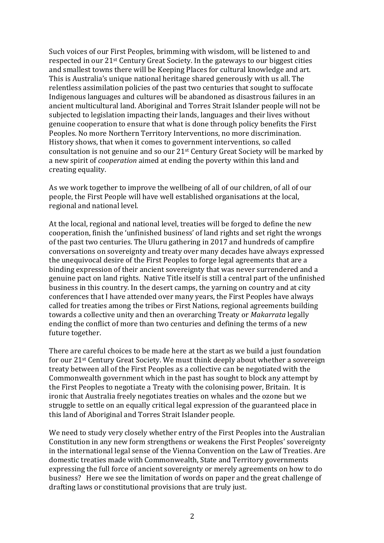Such voices of our First Peoples, brimming with wisdom, will be listened to and respected in our 21<sup>st</sup> Century Great Society. In the gateways to our biggest cities and smallest towns there will be Keeping Places for cultural knowledge and art. This is Australia's unique national heritage shared generously with us all. The relentless assimilation policies of the past two centuries that sought to suffocate Indigenous languages and cultures will be abandoned as disastrous failures in an ancient multicultural land. Aboriginal and Torres Strait Islander people will not be subjected to legislation impacting their lands, languages and their lives without genuine cooperation to ensure that what is done through policy benefits the First Peoples. No more Northern Territory Interventions, no more discrimination. History shows, that when it comes to government interventions, so called consultation is not genuine and so our  $21^{st}$  Century Great Society will be marked by a new spirit of *cooperation* aimed at ending the poverty within this land and creating equality.

As we work together to improve the wellbeing of all of our children, of all of our people, the First People will have well established organisations at the local, regional and national level.

At the local, regional and national level, treaties will be forged to define the new cooperation, finish the 'unfinished business' of land rights and set right the wrongs of the past two centuries. The Uluru gathering in 2017 and hundreds of campfire conversations on sovereignty and treaty over many decades have always expressed the unequivocal desire of the First Peoples to forge legal agreements that are a binding expression of their ancient sovereignty that was never surrendered and a genuine pact on land rights. Native Title itself is still a central part of the unfinished business in this country. In the desert camps, the yarning on country and at city conferences that I have attended over many years, the First Peoples have always called for treaties among the tribes or First Nations, regional agreements building towards a collective unity and then an overarching Treaty or *Makarrata* legally ending the conflict of more than two centuries and defining the terms of a new future together.

There are careful choices to be made here at the start as we build a just foundation for our  $21^{st}$  Century Great Society. We must think deeply about whether a sovereign treaty between all of the First Peoples as a collective can be negotiated with the Commonwealth government which in the past has sought to block any attempt by the First Peoples to negotiate a Treaty with the colonising power, Britain. It is ironic that Australia freely negotiates treaties on whales and the ozone but we struggle to settle on an equally critical legal expression of the guaranteed place in this land of Aboriginal and Torres Strait Islander people.

We need to study very closely whether entry of the First Peoples into the Australian Constitution in any new form strengthens or weakens the First Peoples' sovereignty in the international legal sense of the Vienna Convention on the Law of Treaties. Are domestic treaties made with Commonwealth, State and Territory governments expressing the full force of ancient sovereignty or merely agreements on how to do business? Here we see the limitation of words on paper and the great challenge of drafting laws or constitutional provisions that are truly just.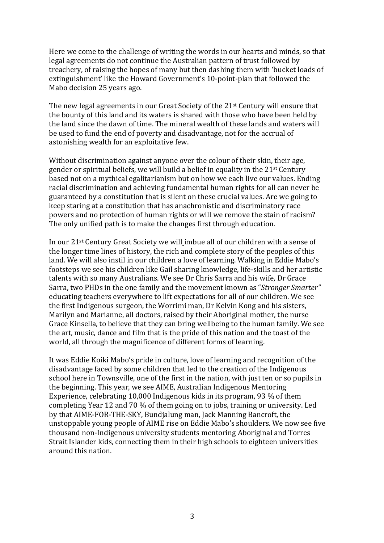Here we come to the challenge of writing the words in our hearts and minds, so that legal agreements do not continue the Australian pattern of trust followed by treachery, of raising the hopes of many but then dashing them with 'bucket loads of extinguishment' like the Howard Government's 10-point-plan that followed the Mabo decision 25 years ago.

The new legal agreements in our Great Society of the  $21<sup>st</sup>$  Century will ensure that the bounty of this land and its waters is shared with those who have been held by the land since the dawn of time. The mineral wealth of these lands and waters will be used to fund the end of poverty and disadvantage, not for the accrual of astonishing wealth for an exploitative few.

Without discrimination against anyone over the colour of their skin, their age, gender or spiritual beliefs, we will build a belief in equality in the  $21^{st}$  Century based not on a mythical egalitarianism but on how we each live our values. Ending racial discrimination and achieving fundamental human rights for all can never be guaranteed by a constitution that is silent on these crucial values. Are we going to keep staring at a constitution that has anachronistic and discriminatory race powers and no protection of human rights or will we remove the stain of racism? The only unified path is to make the changes first through education.

In our 21<sup>st</sup> Century Great Society we will imbue all of our children with a sense of the longer time lines of history, the rich and complete story of the peoples of this land. We will also instil in our children a love of learning. Walking in Eddie Mabo's footsteps we see his children like Gail sharing knowledge, life-skills and her artistic talents with so many Australians. We see Dr Chris Sarra and his wife, Dr Grace Sarra, two PHDs in the one family and the movement known as "*Stronger Smarter*" educating teachers everywhere to lift expectations for all of our children. We see the first Indigenous surgeon, the Worrimi man, Dr Kelvin Kong and his sisters, Marilyn and Marianne, all doctors, raised by their Aboriginal mother, the nurse Grace Kinsella, to believe that they can bring wellbeing to the human family. We see the art, music, dance and film that is the pride of this nation and the toast of the world, all through the magnificence of different forms of learning.

It was Eddie Koiki Mabo's pride in culture, love of learning and recognition of the disadvantage faced by some children that led to the creation of the Indigenous school here in Townsville, one of the first in the nation, with just ten or so pupils in the beginning. This year, we see AIME, Australian Indigenous Mentoring Experience, celebrating  $10,000$  Indigenous kids in its program, 93 % of them completing Year 12 and 70  $\%$  of them going on to jobs, training or university. Led by that AIME-FOR-THE-SKY, Bundjalung man, Jack Manning Bancroft, the unstoppable young people of AIME rise on Eddie Mabo's shoulders. We now see five thousand non-Indigenous university students mentoring Aboriginal and Torres Strait Islander kids, connecting them in their high schools to eighteen universities around this nation.